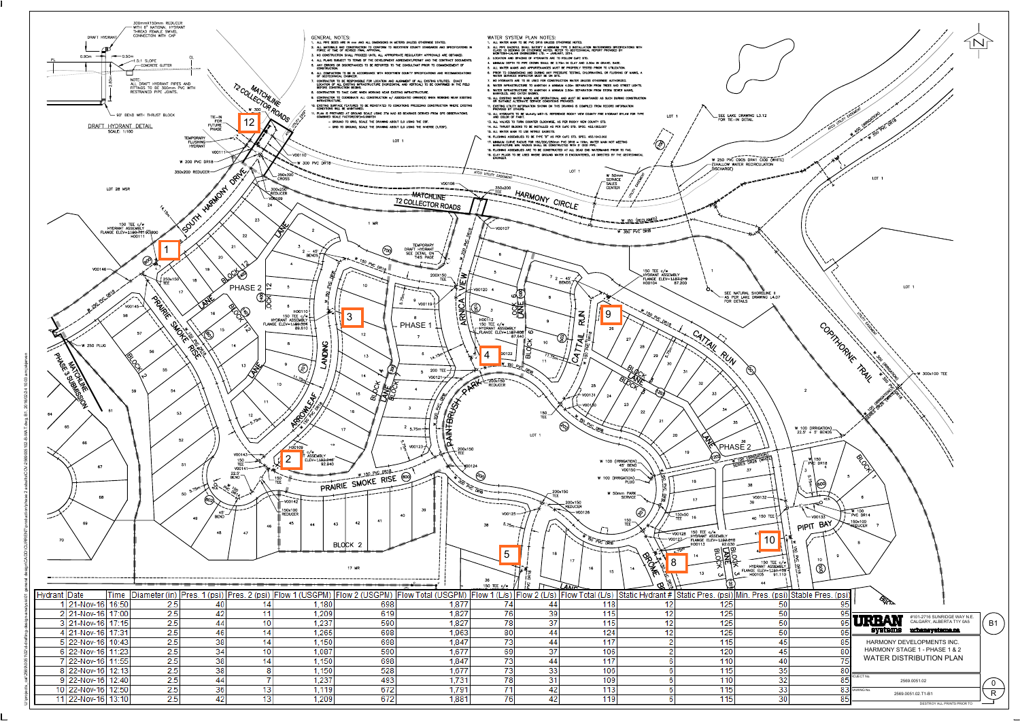